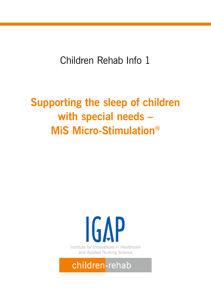Children Rehab Info 1

# **Supporting the sleep of children with special needs – MiS Micro-Stimulation®**

# **IGAP** Institute for Innovations in Healthcare and Applied Nursing Science

## children-rehab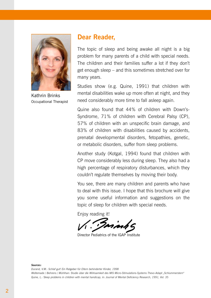

Kathrin Brinks Occupational Therapist

### **Dear Reader,**

The topic of sleep and being awake all night is a big problem for many parents of a child with special needs. The children and their families suffer a lot if they don't get enough sleep – and this sometimes stretched over for many years.

Studies show (e.g. Quine, 1991) that children with mental disabilities wake up more often at night, and they need considerably more time to fall asleep again.

Quine also found that 44% of children with Down's-Syndrome, 71% of children with Cerebral Palsy (CP), 57% of children with an unspecific brain damage, and 83% of children with disabilities caused by accidents, prenatal developmental disorders, fetopathies, genetic, or metabolic disorders, suffer from sleep problems.

Another study (Kotgal, 1994) found that children with CP move considerably less during sleep. They also had a high percentage of respiratory disturbances, which they couldn't regulate themselves by moving their body.

You see, there are many children and parents who have to deal with this issue. I hope that this brochure will give you some useful information and suggestions on the topic of sleep for children with special needs.

Enjoy reading it!

Director Pediatrics of the IGAP Institute

*Sources:* 

*Durand, V.M.: Schlaf gut! Ein Ratgeber für Eltern behinderter Kinder, 1998 Woltemade / Behrens / Mühlhan: Studie über die Wirksamkeit des MiS Micro-Stimulations-Systems Thevo-Adapt "Schlummerstern" Quine, L.: Sleep problems in children with mental handicap, in: Journal of Mental Deficiency Research, 1991, Vol. 35*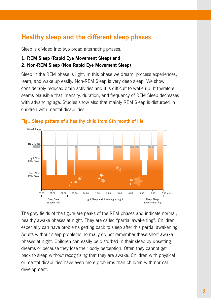## **Healthy sleep and the different sleep phases**

Sleep is divided into two broad alternating phases:

#### **1. REM Sleep (Rapid Eye Movement Sleep) and**

#### **2. Non-REM Sleep (Non Rapid Eye Movement Sleep)**

Sleep in the REM phase is light. In this phase we dream, process experiences, learn, and wake up easily. Non-REM Sleep is very deep sleep. We show considerably reduced brain activities and it is difficult to wake up. It therefore seems plausible that intensity, duration, and frequency of REM Sleep decreases with advancing age. Studies show also that mainly REM Sleep is disturbed in children with mental disabilities.



**Fig.: Sleep pattern of a healthy child from 6th month of life**

The grey fields of the figure are peaks of the REM phases and indicate normal, healthy awake phases at night. They are called "partial awakening". Children especially can have problems getting back to sleep after this partial awakening. Adults without sleep problems normally do not remember these short awake phases at night. Children can easily be disturbed in their sleep by upsetting dreams or because they lose their body perception. Often they cannot get back to sleep without recognizing that they are awake. Children with physical or mental disabilities have even more problems than children with normal development.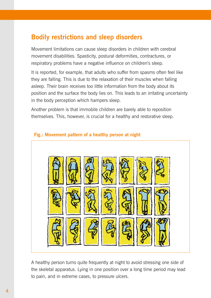## **Bodily restrictions and sleep disorders**

Movement limitations can cause sleep disorders in children with cerebral movement disabilities. Spasticity, postural deformities, contractures, or respiratory problems have a negative influence on children's sleep.

It is reported, for example, that adults who suffer from spasms often feel like they are falling. This is due to the relaxation of their muscles when falling asleep. Their brain receives too little information from the body about its position and the surface the body lies on. This leads to an irritating uncertainty in the body perception which hampers sleep.

Another problem is that immobile children are barely able to reposition themselves. This, however, is crucial for a healthy and restorative sleep.



#### **Fig.: Movement pattern of a healthy person at night**

A healthy person turns quite frequently at night to avoid stressing one side of the skeletal apparatus. Lying in one position over a long time period may lead to pain, and in extreme cases, to pressure ulcers.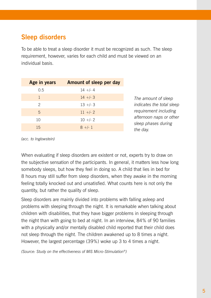## **Sleep disorders**

To be able to treat a sleep disorder it must be recognized as such. The sleep requirement, however, varies for each child and must be viewed on an individual basis.

| Age in years | Amount of sleep per day |
|--------------|-------------------------|
| 0.5          | $14 +/- 4$              |
| 1            | $14 + - 3$              |
| 2            | $13 + - 3$              |
| 5            | $11$ +/- 2              |
| 10           | $10 +/- 2$              |
| 15           | $8 +/- 1$               |

*The amount of sleep indicates the total sleep requirement including afternoon naps or other sleep phases during the day.*

*(acc. to Inglowstein)*

When evaluating if sleep disorders are existent or not, experts try to draw on the subjective sensation of the participants. In general, it matters less how long somebody sleeps, but how they feel in doing so. A child that lies in bed for 8 hours may still suffer from sleep disorders, when they awake in the morning feeling totally knocked out and unsatisfied. What counts here is not only the quantity, but rather the quality of sleep.

Sleep disorders are mainly divided into problems with falling asleep and problems with sleeping through the night. It is remarkable when talking about children with disabilities, that they have bigger problems in sleeping through the night than with going to bed at night. In an interview, 84% of 90 families with a physically and/or mentally disabled child reported that their child does not sleep through the night. The children awakened up to 8 times a night. However, the largest percentage (39%) woke up 3 to 4 times a night.

*(Source: Study on the effectiveness of MiS Micro-Stimulation®)*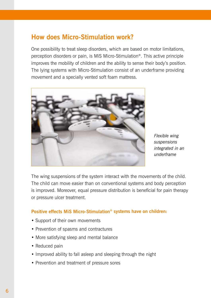## **How does Micro-Stimulation work?**

One possibility to treat sleep disorders, which are based on motor limitations, perception disorders or pain, is MiS Micro-Stimulation®. This active principle improves the mobility of children and the ability to sense their body's position. The lying systems with Micro-Stimulation consist of an underframe providing movement and a specially vented soft foam mattress.



*Flexible wing suspensions integrated in an underframe*

The wing suspensions of the system interact with the movements of the child. The child can move easier than on conventional systems and body perception is improved. Moreover, equal pressure distribution is beneficial for pain therapy or pressure ulcer treatment.

#### **Positive effects MiS Micro-Stimulation® systems have on children:**

- Support of their own movements
- Prevention of spasms and contractures
- More satisfying sleep and mental balance
- Reduced pain
- Improved ability to fall asleep and sleeping through the night
- Prevention and treatment of pressure sores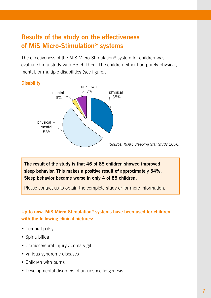## **Results of the study on the effectiveness of MiS Micro-Stimulation® systems**

The effectiveness of the MiS Micro-Stimulation® system for children was evaluated in a study with 85 children. The children either had purely physical, mental, or multiple disabilities (see figure).

#### **Disability**



**The result of the study is that 46 of 85 children showed improved sleep behavior. This makes a positive result of approximately 54%. Sleep behavior became worse in only 4 of 85 children.**

Please contact us to obtain the complete study or for more information.

#### **Up to now, MiS Micro-Stimulation® systems have been used for children with the following clinical pictures:**

- Cerebral palsy
- Spina bifida
- Craniocerebral injury / coma vigil
- Various syndrome diseases
- Children with burns
- Developmental disorders of an unspecific genesis